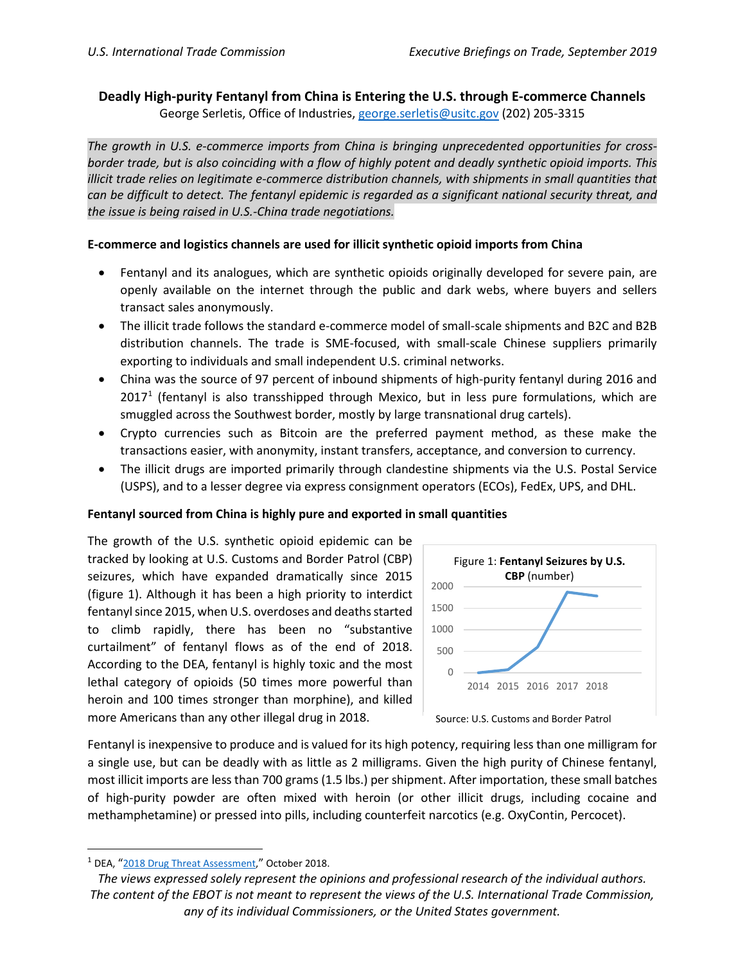# **Deadly High-purity Fentanyl from China is Entering the U.S. through E-commerce Channels** George Serletis, Office of Industries[, george.serletis@usitc.gov](mailto:george.serletis@usitc.gov) (202) 205-3315

*The growth in U.S. e-commerce imports from China is bringing unprecedented opportunities for crossborder trade, but is also coinciding with a flow of highly potent and deadly synthetic opioid imports. This illicit trade relies on legitimate e-commerce distribution channels, with shipments in small quantities that can be difficult to detect. The fentanyl epidemic is regarded as a significant national security threat, and the issue is being raised in U.S.-China trade negotiations.*

## **E-commerce and logistics channels are used for illicit synthetic opioid imports from China**

- Fentanyl and its analogues, which are synthetic opioids originally developed for severe pain, are openly available on the internet through the public and dark webs, where buyers and sellers transact sales anonymously.
- The illicit trade follows the standard e-commerce model of small-scale shipments and B2C and B2B distribution channels. The trade is SME-focused, with small-scale Chinese suppliers primarily exporting to individuals and small independent U.S. criminal networks.
- China was the source of 97 percent of inbound shipments of high-purity fentanyl during 2016 and  $2017<sup>1</sup>$  $2017<sup>1</sup>$  $2017<sup>1</sup>$  (fentanyl is also transshipped through Mexico, but in less pure formulations, which are smuggled across the Southwest border, mostly by large transnational drug cartels).
- Crypto currencies such as Bitcoin are the preferred payment method, as these make the transactions easier, with anonymity, instant transfers, acceptance, and conversion to currency.
- The illicit drugs are imported primarily through clandestine shipments via the U.S. Postal Service (USPS), and to a lesser degree via express consignment operators (ECOs), FedEx, UPS, and DHL.

#### **Fentanyl sourced from China is highly pure and exported in small quantities**

The growth of the U.S. synthetic opioid epidemic can be tracked by looking at U.S. Customs and Border Patrol (CBP) seizures, which have expanded dramatically since 2015 (figure 1). Although it has been a high priority to interdict fentanyl since 2015, when U.S. overdoses and deaths started to climb rapidly, there has been no "substantive curtailment" of fentanyl flows as of the end of 2018. According to the DEA, fentanyl is highly toxic and the most lethal category of opioids (50 times more powerful than heroin and 100 times stronger than morphine), and killed more Americans than any other illegal drug in 2018.



Source: U.S. Customs and Border Patrol

Fentanyl is inexpensive to produce and is valued for its high potency, requiring less than one milligram for a single use, but can be deadly with as little as 2 milligrams. Given the high purity of Chinese fentanyl, most illicit imports are less than 700 grams (1.5 lbs.) per shipment. After importation, these small batches of high-purity powder are often mixed with heroin (or other illicit drugs, including cocaine and methamphetamine) or pressed into pills, including counterfeit narcotics (e.g. OxyContin, Percocet).

<span id="page-0-0"></span> <sup>1</sup> DEA, ["2018 Drug Threat Assessment,"](https://www.dea.gov/sites/default/files/2018-11/DIR-032-18%202018%20NDTA%20final%20low%20resolution.pdf) October 2018.

*The views expressed solely represent the opinions and professional research of the individual authors. The content of the EBOT is not meant to represent the views of the U.S. International Trade Commission, any of its individual Commissioners, or the United States government.*